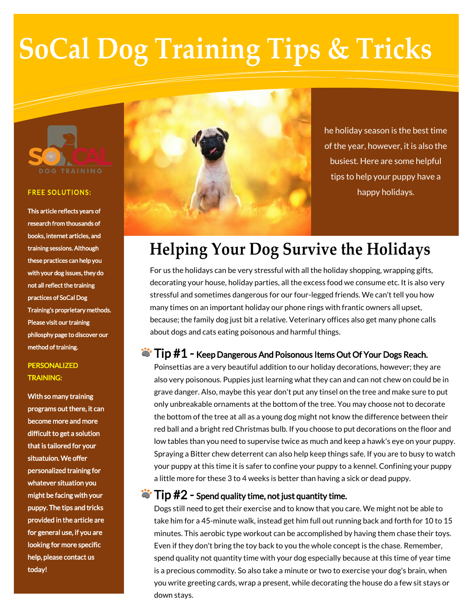# **SoCal Dog Training Tips & Tricks**



#### **FREE SOLUTIONS:**

This article reflects years of research from thousands of books, internet articles, and training sessions. Although these practices can help you with your dog issues, they do not all reflect the training practices of SoCal Dog Training's proprietary methods. Please visit our training philosphy page to discover our method of training.

### PERSONALIZED TRAINING:

With so many training programs out there, it can become more and more difficult to get a solution that is tailored for your situatuion. We offer personalized training for whatever situation you might be facing with your puppy. The tips and tricks provided in the article are for general use, if you are looking for more specific help, please contact us today!



he holiday season is the best time of the year, however, it is also the busiest. Here are some helpful tips to help your puppy have a happy holidays.

# **Helping Your Dog Survive the Holidays**

For us the holidays can be very stressful with all the holiday shopping, wrapping gifts, decorating your house, holiday parties, all the excess food we consume etc. It is also very stressful and sometimes dangerous for our four-legged friends. We can't tell you how many times on an important holiday our phone rings with frantic owners all upset, because; the family dog just bit a relative. Veterinary offices also get many phone calls about dogs and cats eating poisonous and harmful things.

# $\ddot{\bullet}$  Tip  $\#1$  - Keep Dangerous And Poisonous Items Out Of Your Dogs Reach.

Poinsettias are a very beautiful addition to our holiday decorations, however; they are also very poisonous. Puppies just learning what they can and can not chew on could be in grave danger. Also, maybe this year don't put any tinsel on the tree and make sure to put only unbreakable ornaments at the bottom of the tree. You may choose not to decorate the bottom of the tree at all as a young dog might not know the difference between their red ball and a bright red Christmas bulb. If you choose to put decorations on the floor and low tables than you need to supervise twice as much and keep a hawk's eye on your puppy. Spraying a Bitter chew deterrent can also help keep things safe. If you are to busy to watch your puppy at this time it is safer to confine your puppy to a kennel. Confining your puppy a little more for these 3 to 4 weeks is better than having a sick or dead puppy.

#### .  $\ddot{\bullet}$  Tip  $\#2$  - Spend quality time, not just quantity time.

Dogs still need to get their exercise and to know that you care. We might not be able to take him for a 45-minute walk, instead get him full out running back and forth for 10 to 15 minutes. This aerobic type workout can be accomplished by having them chase their toys. Even if they don't bring the toy back to you the whole concept is the chase. Remember, spend quality not quantity time with your dog especially because at this time of year time is a precious commodity. So also take a minute or two to exercise your dog's brain, when you write greeting cards, wrap a present, while decorating the house do a few sit stays or down stays.